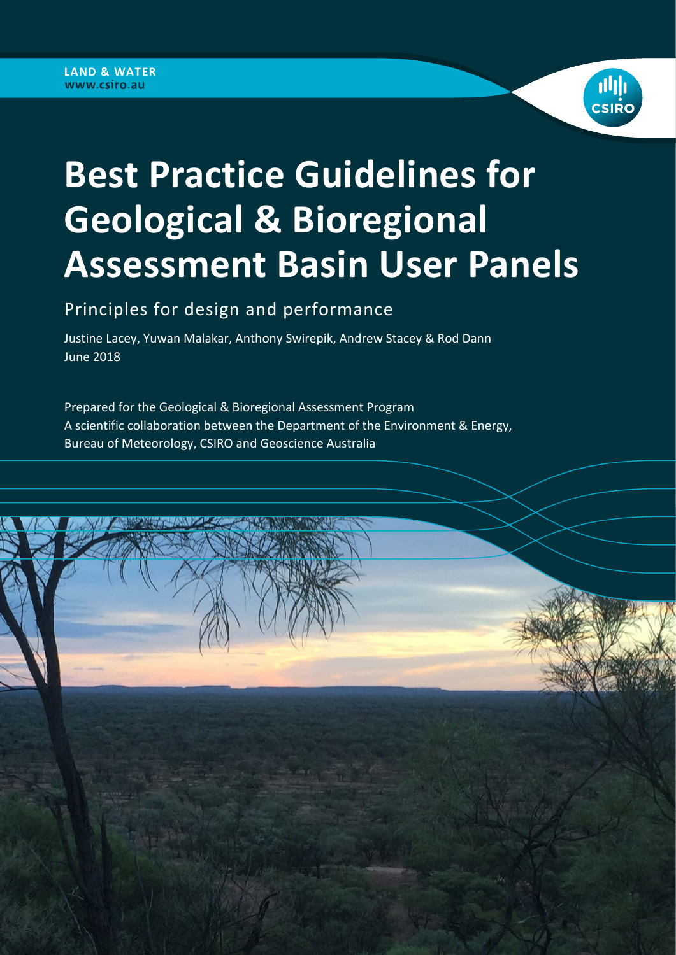

# **Best Practice Guidelines for Geological & Bioregional Assessment Basin User Panels**

### Principles for design and performance

Justine Lacey, Yuwan Malakar, Anthony Swirepik, Andrew Stacey & Rod Dann June 2018

Prepared for the Geological & Bioregional Assessment Program A scientific collaboration between the Department of the Environment & Energy, Bureau of Meteorology, CSIRO and Geoscience Australia

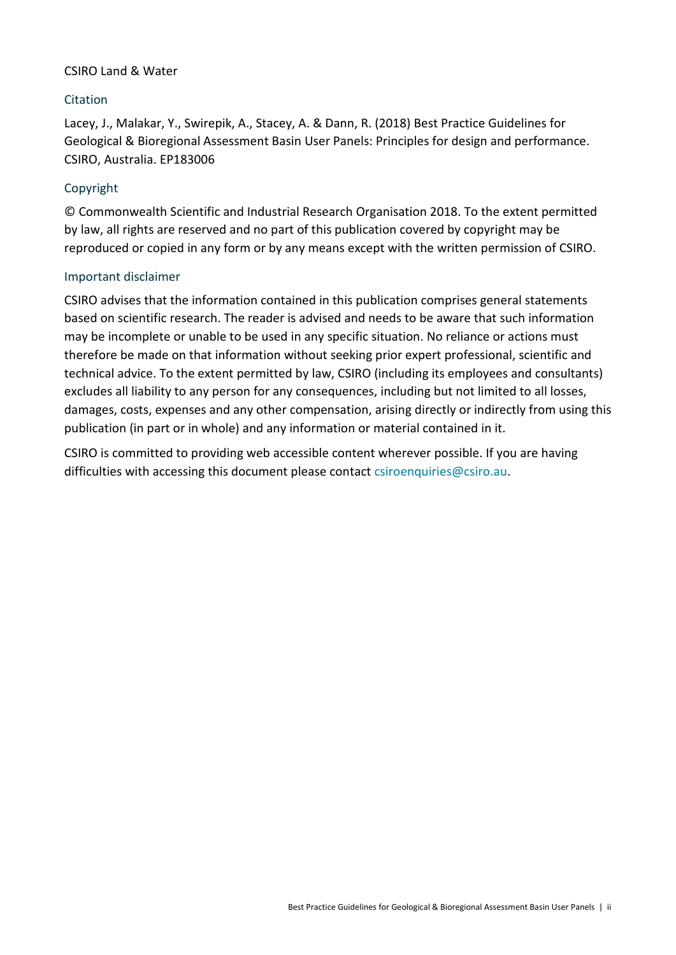#### CSIRO Land & Water

#### Citation

Lacey, J., Malakar, Y., Swirepik, A., Stacey, A. & Dann, R. (2018) Best Practice Guidelines for Geological & Bioregional Assessment Basin User Panels: Principles for design and performance. CSIRO, Australia. EP183006

#### Copyright

© Commonwealth Scientific and Industrial Research Organisation 2018. To the extent permitted by law, all rights are reserved and no part of this publication covered by copyright may be reproduced or copied in any form or by any means except with the written permission of CSIRO.

#### Important disclaimer

CSIRO advises that the information contained in this publication comprises general statements based on scientific research. The reader is advised and needs to be aware that such information may be incomplete or unable to be used in any specific situation. No reliance or actions must therefore be made on that information without seeking prior expert professional, scientific and technical advice. To the extent permitted by law, CSIRO (including its employees and consultants) excludes all liability to any person for any consequences, including but not limited to all losses, damages, costs, expenses and any other compensation, arising directly or indirectly from using this publication (in part or in whole) and any information or material contained in it.

CSIRO is committed to providing web accessible content wherever possible. If you are having difficulties with accessing this document please contact [csiroenquiries@csiro.au.](mailto:csiroenquiries@csiro.au)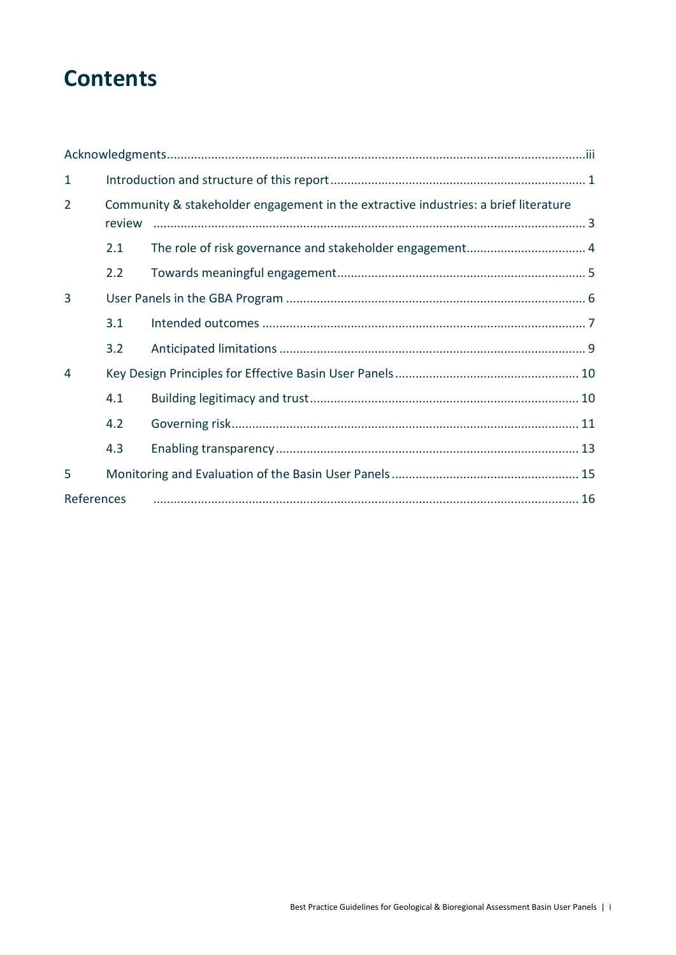## **Contents**

| $\mathbf{1}$ |                                                                                               |                                                          |
|--------------|-----------------------------------------------------------------------------------------------|----------------------------------------------------------|
| 2            | Community & stakeholder engagement in the extractive industries: a brief literature<br>review |                                                          |
|              | 2.1                                                                                           | The role of risk governance and stakeholder engagement 4 |
|              | 2.2                                                                                           |                                                          |
| 3            |                                                                                               |                                                          |
|              | 3.1                                                                                           |                                                          |
|              | 3.2                                                                                           |                                                          |
| 4            |                                                                                               |                                                          |
|              | 4.1                                                                                           |                                                          |
|              | 4.2                                                                                           |                                                          |
|              | 4.3                                                                                           |                                                          |
| 5            |                                                                                               |                                                          |
| References   |                                                                                               |                                                          |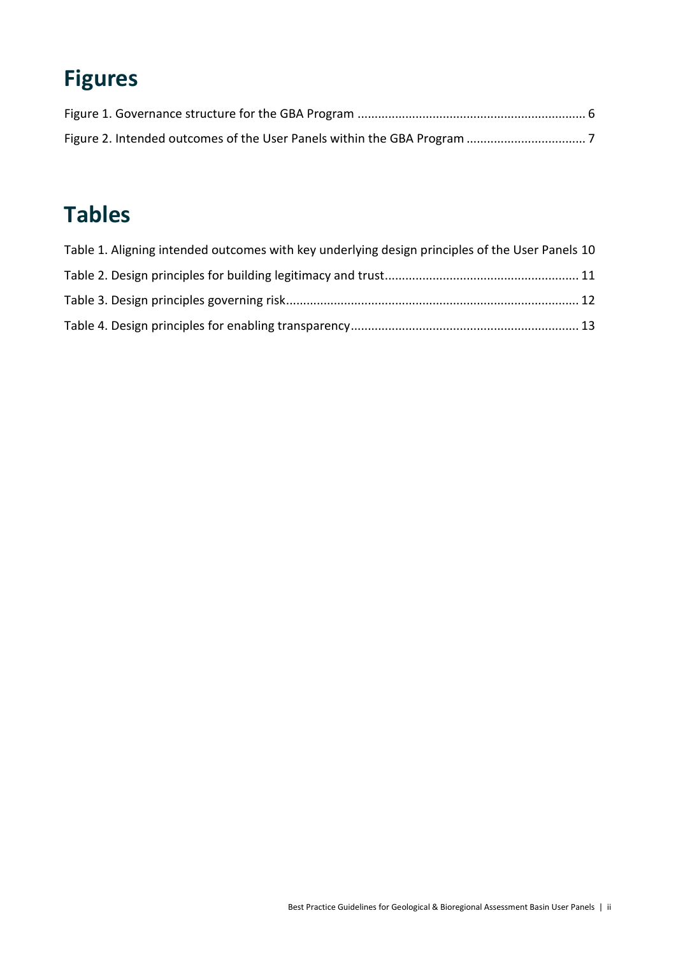# **Figures**

# **Tables**

| Table 1. Aligning intended outcomes with key underlying design principles of the User Panels 10 |  |
|-------------------------------------------------------------------------------------------------|--|
|                                                                                                 |  |
|                                                                                                 |  |
|                                                                                                 |  |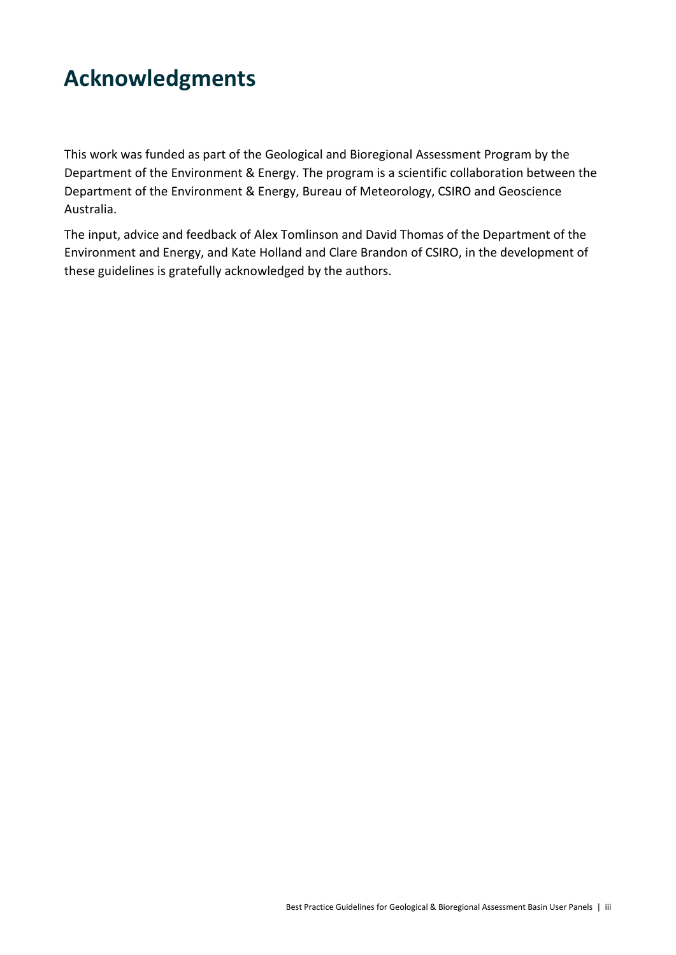# <span id="page-4-0"></span>**Acknowledgments**

This work was funded as part of the Geological and Bioregional Assessment Program by the Department of the Environment & Energy. The program is a scientific collaboration between the Department of the Environment & Energy, Bureau of Meteorology, CSIRO and Geoscience Australia.

The input, advice and feedback of Alex Tomlinson and David Thomas of the Department of the Environment and Energy, and Kate Holland and Clare Brandon of CSIRO, in the development of these guidelines is gratefully acknowledged by the authors.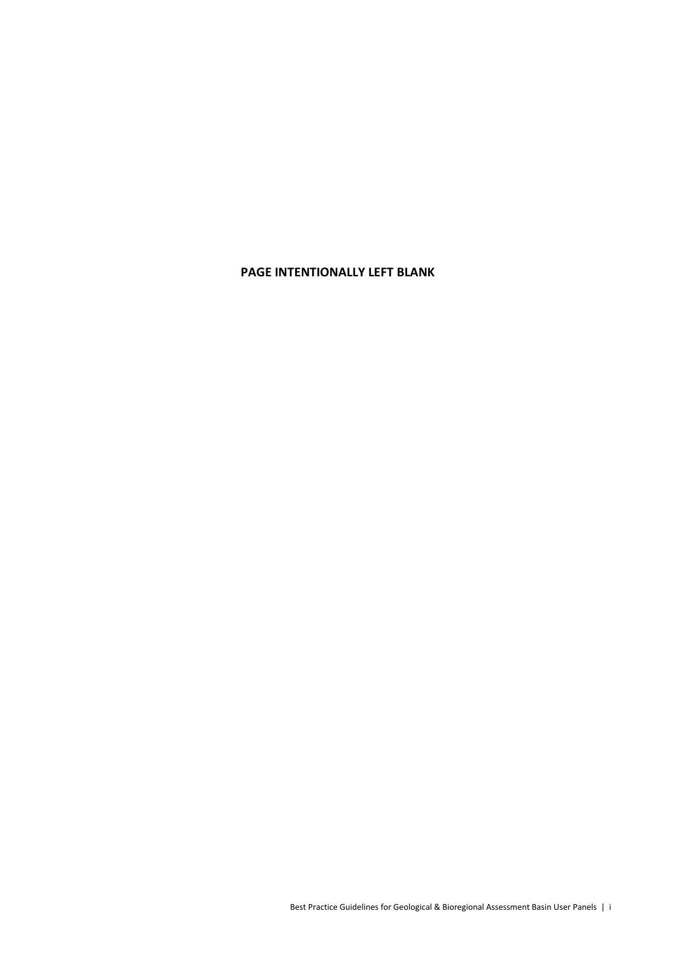#### **PAGE INTENTIONALLY LEFT BLANK**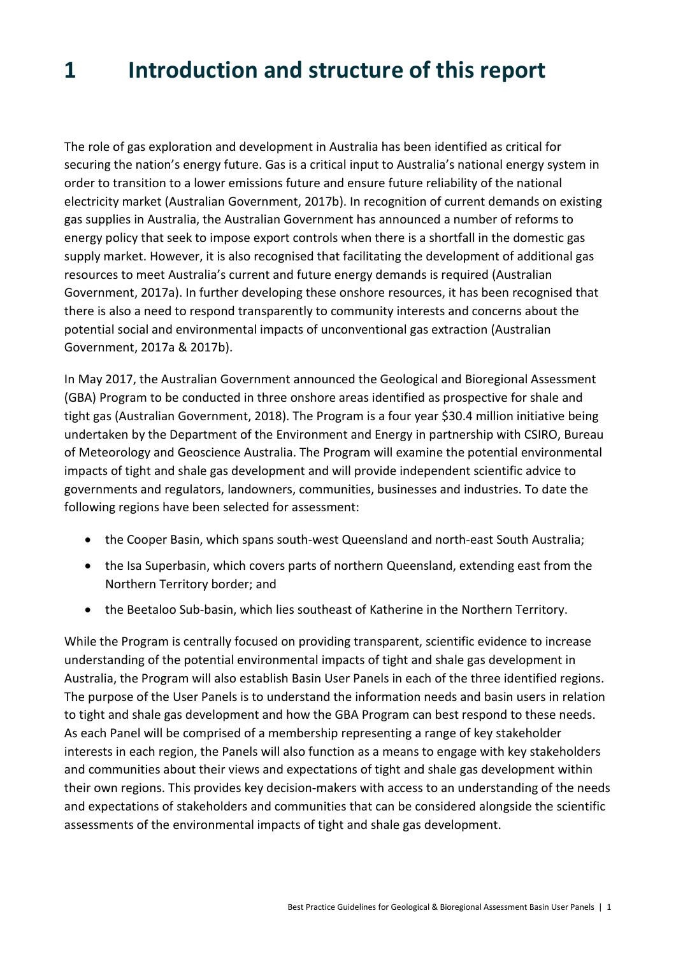## <span id="page-6-0"></span>**1 Introduction and structure of this report**

The role of gas exploration and development in Australia has been identified as critical for securing the nation's energy future. Gas is a critical input to Australia's national energy system in order to transition to a lower emissions future and ensure future reliability of the national electricity market (Australian Government, 2017b). In recognition of current demands on existing gas supplies in Australia, the Australian Government has announced a number of reforms to energy policy that seek to impose export controls when there is a shortfall in the domestic gas supply market. However, it is also recognised that facilitating the development of additional gas resources to meet Australia's current and future energy demands is required (Australian Government, 2017a). In further developing these onshore resources, it has been recognised that there is also a need to respond transparently to community interests and concerns about the potential social and environmental impacts of unconventional gas extraction (Australian Government, 2017a & 2017b).

In May 2017, the Australian Government announced the Geological and Bioregional Assessment (GBA) Program to be conducted in three onshore areas identified as prospective for shale and tight gas (Australian Government, 2018). The Program is a four year \$30.4 million initiative being undertaken by the Department of the Environment and Energy in partnership with CSIRO, Bureau of Meteorology and Geoscience Australia. The Program will examine the potential environmental impacts of tight and shale gas development and will provide independent scientific advice to governments and regulators, landowners, communities, businesses and industries. To date the following regions have been selected for assessment:

- the Cooper Basin, which spans south-west Queensland and north-east South Australia;
- the Isa Superbasin, which covers parts of northern Queensland, extending east from the Northern Territory border; and
- the Beetaloo Sub-basin, which lies southeast of Katherine in the Northern Territory.

While the Program is centrally focused on providing transparent, scientific evidence to increase understanding of the potential environmental impacts of tight and shale gas development in Australia, the Program will also establish Basin User Panels in each of the three identified regions. The purpose of the User Panels is to understand the information needs and basin users in relation to tight and shale gas development and how the GBA Program can best respond to these needs. As each Panel will be comprised of a membership representing a range of key stakeholder interests in each region, the Panels will also function as a means to engage with key stakeholders and communities about their views and expectations of tight and shale gas development within their own regions. This provides key decision-makers with access to an understanding of the needs and expectations of stakeholders and communities that can be considered alongside the scientific assessments of the environmental impacts of tight and shale gas development.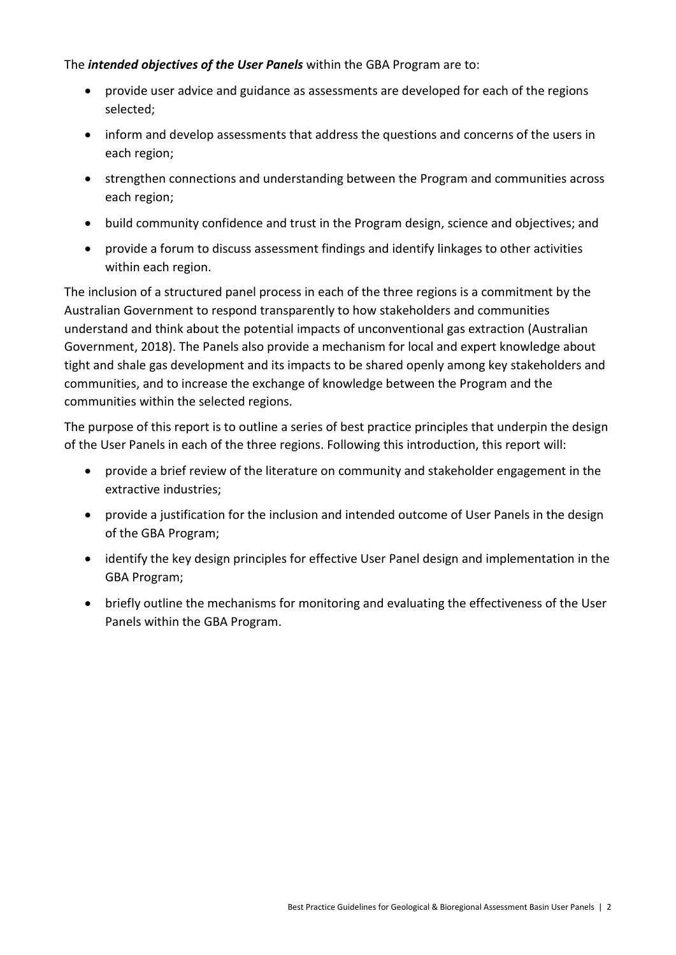#### The *intended objectives of the User Panels* within the GBA Program are to:

- provide user advice and guidance as assessments are developed for each of the regions selected;
- inform and develop assessments that address the questions and concerns of the users in each region;
- strengthen connections and understanding between the Program and communities across each region;
- build community confidence and trust in the Program design, science and objectives; and
- provide a forum to discuss assessment findings and identify linkages to other activities within each region.

The inclusion of a structured panel process in each of the three regions is a commitment by the Australian Government to respond transparently to how stakeholders and communities understand and think about the potential impacts of unconventional gas extraction (Australian Government, 2018). The Panels also provide a mechanism for local and expert knowledge about tight and shale gas development and its impacts to be shared openly among key stakeholders and communities, and to increase the exchange of knowledge between the Program and the communities within the selected regions.

The purpose of this report is to outline a series of best practice principles that underpin the design of the User Panels in each of the three regions. Following this introduction, this report will:

- provide a brief review of the literature on community and stakeholder engagement in the extractive industries;
- provide a justification for the inclusion and intended outcome of User Panels in the design of the GBA Program;
- identify the key design principles for effective User Panel design and implementation in the GBA Program;
- briefly outline the mechanisms for monitoring and evaluating the effectiveness of the User Panels within the GBA Program.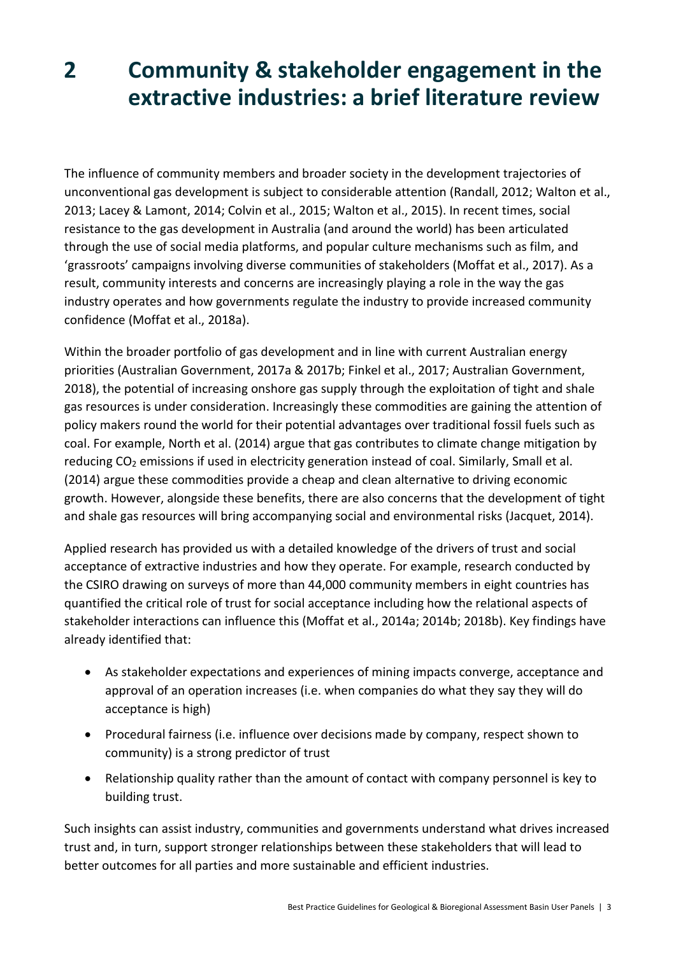# <span id="page-8-0"></span>**2 Community & stakeholder engagement in the extractive industries: a brief literature review**

The influence of community members and broader society in the development trajectories of unconventional gas development is subject to considerable attention (Randall, 2012; Walton et al., 2013; Lacey & Lamont, 2014; Colvin et al., 2015; Walton et al., 2015). In recent times, social resistance to the gas development in Australia (and around the world) has been articulated through the use of social media platforms, and popular culture mechanisms such as film, and 'grassroots' campaigns involving diverse communities of stakeholders (Moffat et al., 2017). As a result, community interests and concerns are increasingly playing a role in the way the gas industry operates and how governments regulate the industry to provide increased community confidence (Moffat et al., 2018a).

Within the broader portfolio of gas development and in line with current Australian energy priorities (Australian Government, 2017a & 2017b; Finkel et al., 2017; Australian Government, 2018), the potential of increasing onshore gas supply through the exploitation of tight and shale gas resources is under consideration. Increasingly these commodities are gaining the attention of policy makers round the world for their potential advantages over traditional fossil fuels such as coal. For example, North et al. (2014) argue that gas contributes to climate change mitigation by reducing CO<sub>2</sub> emissions if used in electricity generation instead of coal. Similarly, Small et al. (2014) argue these commodities provide a cheap and clean alternative to driving economic growth. However, alongside these benefits, there are also concerns that the development of tight and shale gas resources will bring accompanying social and environmental risks (Jacquet, 2014).

Applied research has provided us with a detailed knowledge of the drivers of trust and social acceptance of extractive industries and how they operate. For example, research conducted by the CSIRO drawing on surveys of more than 44,000 community members in eight countries has quantified the critical role of trust for social acceptance including how the relational aspects of stakeholder interactions can influence this (Moffat et al., 2014a; 2014b; 2018b). Key findings have already identified that:

- As stakeholder expectations and experiences of mining impacts converge, acceptance and approval of an operation increases (i.e. when companies do what they say they will do acceptance is high)
- Procedural fairness (i.e. influence over decisions made by company, respect shown to community) is a strong predictor of trust
- Relationship quality rather than the amount of contact with company personnel is key to building trust.

Such insights can assist industry, communities and governments understand what drives increased trust and, in turn, support stronger relationships between these stakeholders that will lead to better outcomes for all parties and more sustainable and efficient industries.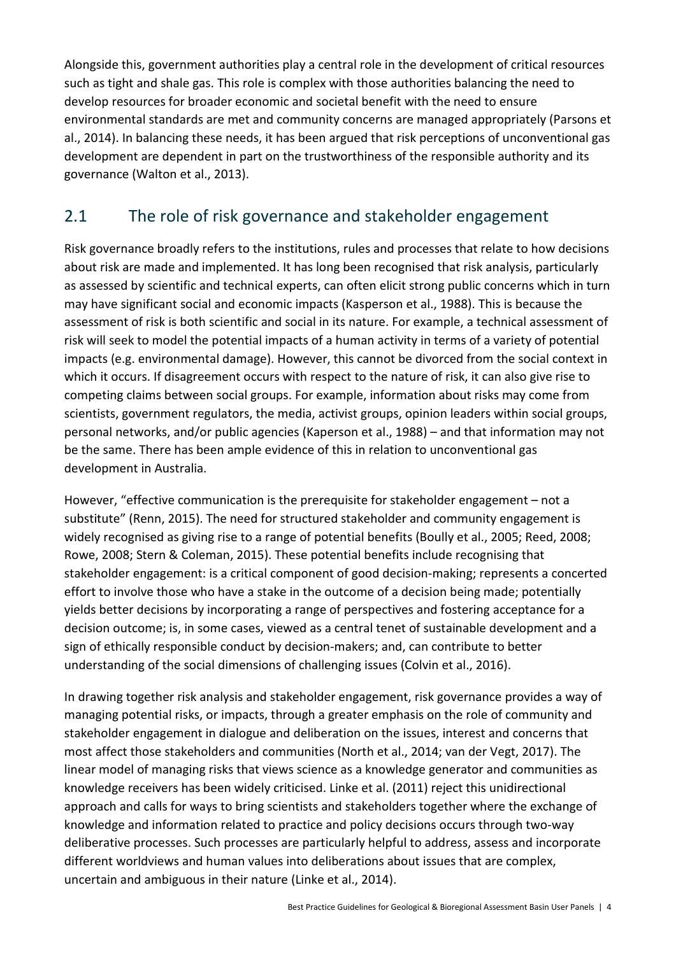Alongside this, government authorities play a central role in the development of critical resources such as tight and shale gas. This role is complex with those authorities balancing the need to develop resources for broader economic and societal benefit with the need to ensure environmental standards are met and community concerns are managed appropriately (Parsons et al., 2014). In balancing these needs, it has been argued that risk perceptions of unconventional gas development are dependent in part on the trustworthiness of the responsible authority and its governance (Walton et al., 2013).

### <span id="page-9-0"></span>2.1 The role of risk governance and stakeholder engagement

Risk governance broadly refers to the institutions, rules and processes that relate to how decisions about risk are made and implemented. It has long been recognised that risk analysis, particularly as assessed by scientific and technical experts, can often elicit strong public concerns which in turn may have significant social and economic impacts (Kasperson et al., 1988). This is because the assessment of risk is both scientific and social in its nature. For example, a technical assessment of risk will seek to model the potential impacts of a human activity in terms of a variety of potential impacts (e.g. environmental damage). However, this cannot be divorced from the social context in which it occurs. If disagreement occurs with respect to the nature of risk, it can also give rise to competing claims between social groups. For example, information about risks may come from scientists, government regulators, the media, activist groups, opinion leaders within social groups, personal networks, and/or public agencies (Kaperson et al., 1988) – and that information may not be the same. There has been ample evidence of this in relation to unconventional gas development in Australia.

However, "effective communication is the prerequisite for stakeholder engagement – not a substitute" (Renn, 2015). The need for structured stakeholder and community engagement is widely recognised as giving rise to a range of potential benefits (Boully et al., 2005; Reed, 2008; Rowe, 2008; Stern & Coleman, 2015). These potential benefits include recognising that stakeholder engagement: is a critical component of good decision-making; represents a concerted effort to involve those who have a stake in the outcome of a decision being made; potentially yields better decisions by incorporating a range of perspectives and fostering acceptance for a decision outcome; is, in some cases, viewed as a central tenet of sustainable development and a sign of ethically responsible conduct by decision-makers; and, can contribute to better understanding of the social dimensions of challenging issues (Colvin et al., 2016).

In drawing together risk analysis and stakeholder engagement, risk governance provides a way of managing potential risks, or impacts, through a greater emphasis on the role of community and stakeholder engagement in dialogue and deliberation on the issues, interest and concerns that most affect those stakeholders and communities (North et al., 2014; van der Vegt, 2017). The linear model of managing risks that views science as a knowledge generator and communities as knowledge receivers has been widely criticised. Linke et al. (2011) reject this unidirectional approach and calls for ways to bring scientists and stakeholders together where the exchange of knowledge and information related to practice and policy decisions occurs through two-way deliberative processes. Such processes are particularly helpful to address, assess and incorporate different worldviews and human values into deliberations about issues that are complex, uncertain and ambiguous in their nature (Linke et al., 2014).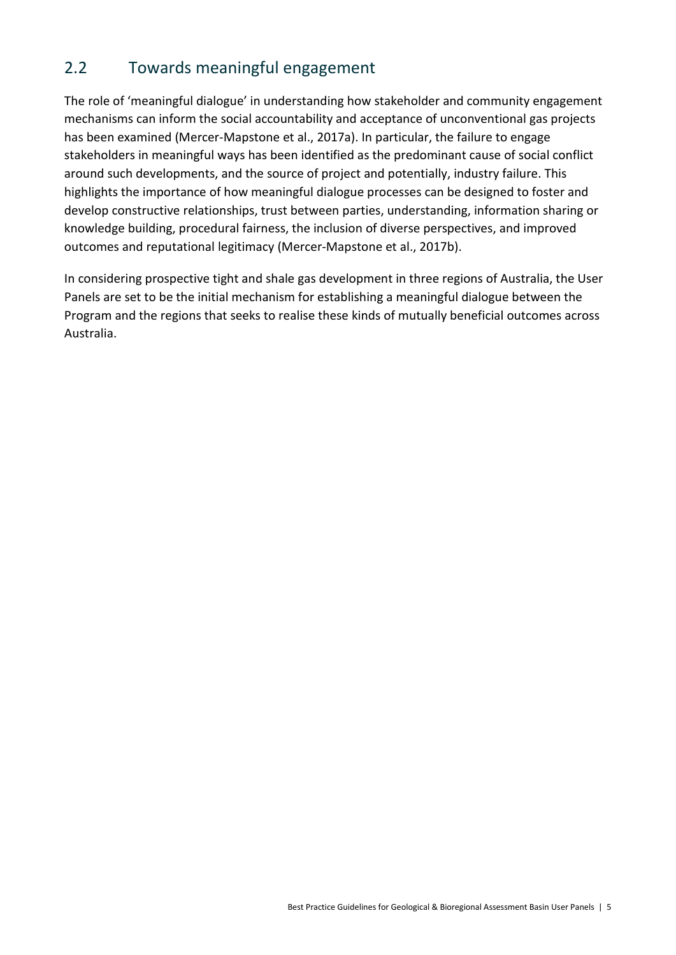### <span id="page-10-0"></span>2.2 Towards meaningful engagement

The role of 'meaningful dialogue' in understanding how stakeholder and community engagement mechanisms can inform the social accountability and acceptance of unconventional gas projects has been examined (Mercer-Mapstone et al., 2017a). In particular, the failure to engage stakeholders in meaningful ways has been identified as the predominant cause of social conflict around such developments, and the source of project and potentially, industry failure. This highlights the importance of how meaningful dialogue processes can be designed to foster and develop constructive relationships, trust between parties, understanding, information sharing or knowledge building, procedural fairness, the inclusion of diverse perspectives, and improved outcomes and reputational legitimacy (Mercer-Mapstone et al., 2017b).

In considering prospective tight and shale gas development in three regions of Australia, the User Panels are set to be the initial mechanism for establishing a meaningful dialogue between the Program and the regions that seeks to realise these kinds of mutually beneficial outcomes across Australia.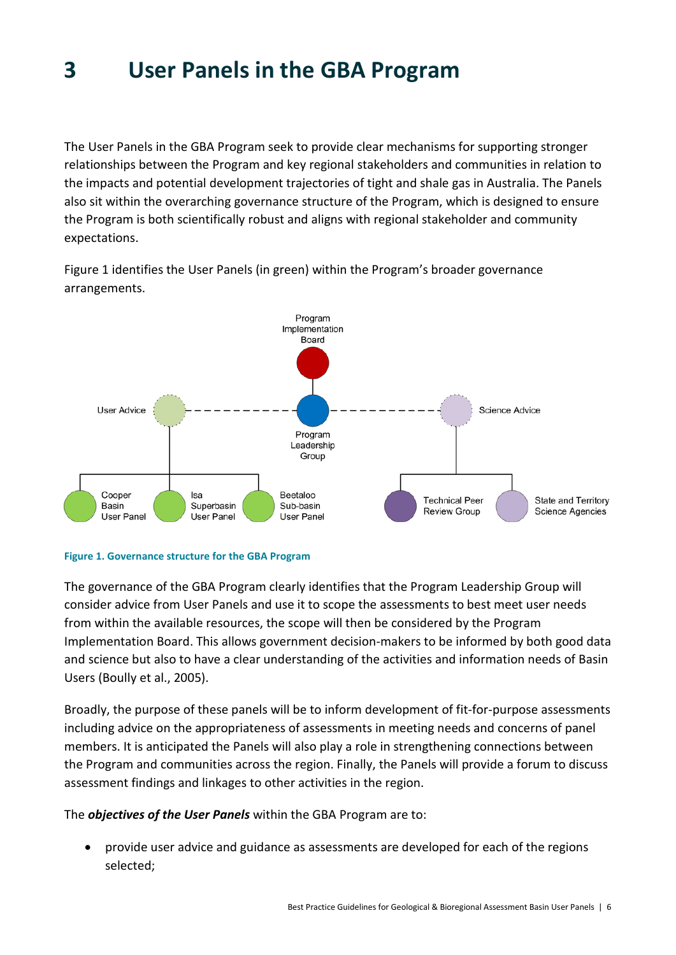# <span id="page-11-0"></span>**3 User Panels in the GBA Program**

The User Panels in the GBA Program seek to provide clear mechanisms for supporting stronger relationships between the Program and key regional stakeholders and communities in relation to the impacts and potential development trajectories of tight and shale gas in Australia. The Panels also sit within the overarching governance structure of the Program, which is designed to ensure the Program is both scientifically robust and aligns with regional stakeholder and community expectations.



[Figure 1](#page-11-1) identifies the User Panels (in green) within the Program's broader governance arrangements.

#### <span id="page-11-1"></span>**Figure 1. Governance structure for the GBA Program**

The governance of the GBA Program clearly identifies that the Program Leadership Group will consider advice from User Panels and use it to scope the assessments to best meet user needs from within the available resources, the scope will then be considered by the Program Implementation Board. This allows government decision-makers to be informed by both good data and science but also to have a clear understanding of the activities and information needs of Basin Users (Boully et al., 2005).

Broadly, the purpose of these panels will be to inform development of fit-for-purpose assessments including advice on the appropriateness of assessments in meeting needs and concerns of panel members. It is anticipated the Panels will also play a role in strengthening connections between the Program and communities across the region. Finally, the Panels will provide a forum to discuss assessment findings and linkages to other activities in the region.

The *objectives of the User Panels* within the GBA Program are to:

• provide user advice and guidance as assessments are developed for each of the regions selected;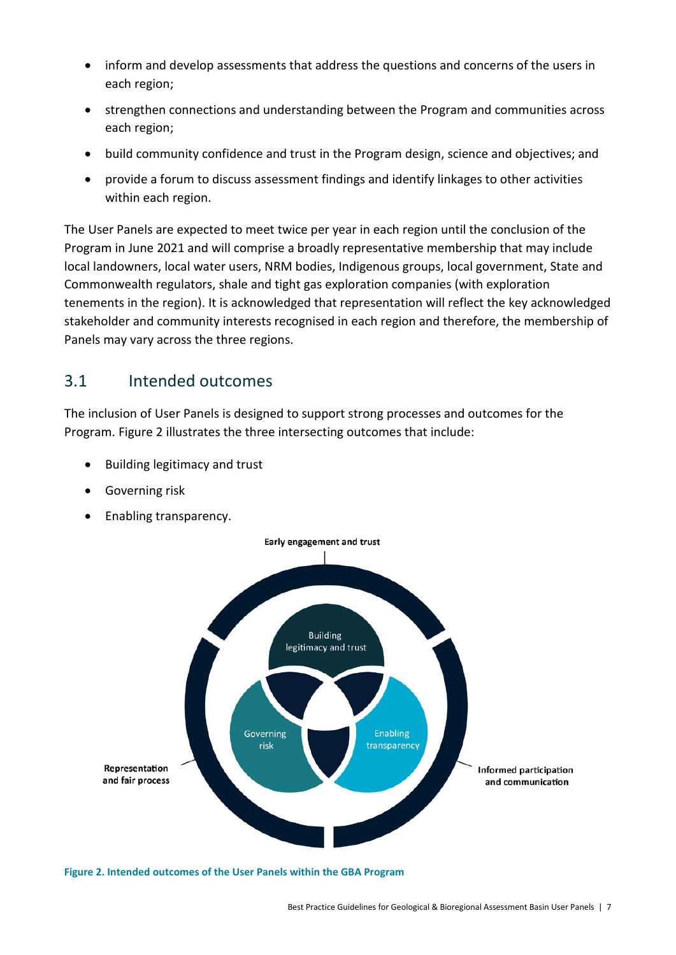- inform and develop assessments that address the questions and concerns of the users in each region;
- strengthen connections and understanding between the Program and communities across each region;
- build community confidence and trust in the Program design, science and objectives; and
- provide a forum to discuss assessment findings and identify linkages to other activities within each region.

The User Panels are expected to meet twice per year in each region until the conclusion of the Program in June 2021 and will comprise a broadly representative membership that may include local landowners, local water users, NRM bodies, Indigenous groups, local government, State and Commonwealth regulators, shale and tight gas exploration companies (with exploration tenements in the region). It is acknowledged that representation will reflect the key acknowledged stakeholder and community interests recognised in each region and therefore, the membership of Panels may vary across the three regions.

### <span id="page-12-0"></span>3.1 Intended outcomes

The inclusion of User Panels is designed to support strong processes and outcomes for the Program. Figure 2 illustrates the three intersecting outcomes that include:

- Building legitimacy and trust
- Governing risk
- Enabling transparency.



<span id="page-12-1"></span>**Figure 2. Intended outcomes of the User Panels within the GBA Program**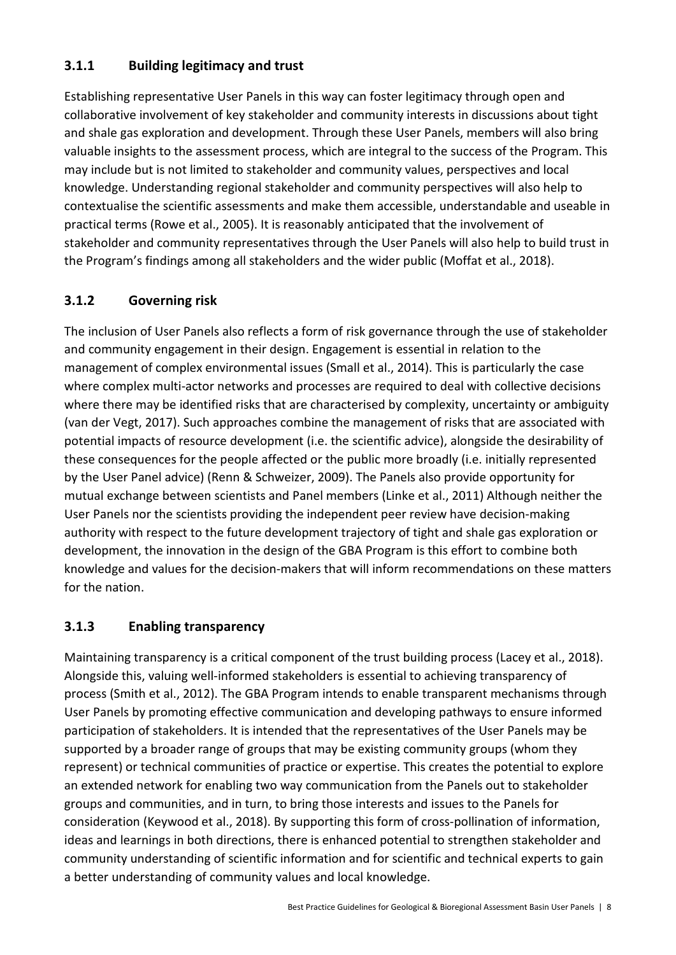#### **3.1.1 Building legitimacy and trust**

Establishing representative User Panels in this way can foster legitimacy through open and collaborative involvement of key stakeholder and community interests in discussions about tight and shale gas exploration and development. Through these User Panels, members will also bring valuable insights to the assessment process, which are integral to the success of the Program. This may include but is not limited to stakeholder and community values, perspectives and local knowledge. Understanding regional stakeholder and community perspectives will also help to contextualise the scientific assessments and make them accessible, understandable and useable in practical terms (Rowe et al., 2005). It is reasonably anticipated that the involvement of stakeholder and community representatives through the User Panels will also help to build trust in the Program's findings among all stakeholders and the wider public (Moffat et al., 2018).

#### **3.1.2 Governing risk**

The inclusion of User Panels also reflects a form of risk governance through the use of stakeholder and community engagement in their design. Engagement is essential in relation to the management of complex environmental issues (Small et al., 2014). This is particularly the case where complex multi-actor networks and processes are required to deal with collective decisions where there may be identified risks that are characterised by complexity, uncertainty or ambiguity (van der Vegt, 2017). Such approaches combine the management of risks that are associated with potential impacts of resource development (i.e. the scientific advice), alongside the desirability of these consequences for the people affected or the public more broadly (i.e. initially represented by the User Panel advice) (Renn & Schweizer, 2009). The Panels also provide opportunity for mutual exchange between scientists and Panel members (Linke et al., 2011) Although neither the User Panels nor the scientists providing the independent peer review have decision-making authority with respect to the future development trajectory of tight and shale gas exploration or development, the innovation in the design of the GBA Program is this effort to combine both knowledge and values for the decision-makers that will inform recommendations on these matters for the nation.

#### **3.1.3 Enabling transparency**

Maintaining transparency is a critical component of the trust building process (Lacey et al., 2018). Alongside this, valuing well-informed stakeholders is essential to achieving transparency of process (Smith et al., 2012). The GBA Program intends to enable transparent mechanisms through User Panels by promoting effective communication and developing pathways to ensure informed participation of stakeholders. It is intended that the representatives of the User Panels may be supported by a broader range of groups that may be existing community groups (whom they represent) or technical communities of practice or expertise. This creates the potential to explore an extended network for enabling two way communication from the Panels out to stakeholder groups and communities, and in turn, to bring those interests and issues to the Panels for consideration (Keywood et al., 2018). By supporting this form of cross-pollination of information, ideas and learnings in both directions, there is enhanced potential to strengthen stakeholder and community understanding of scientific information and for scientific and technical experts to gain a better understanding of community values and local knowledge.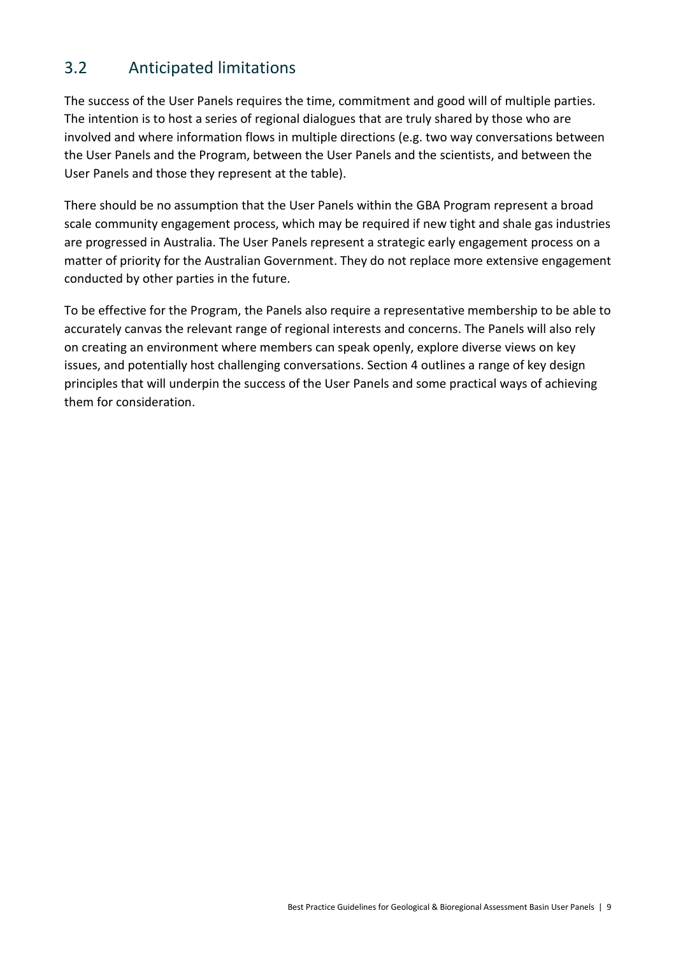### <span id="page-14-0"></span>3.2 Anticipated limitations

The success of the User Panels requires the time, commitment and good will of multiple parties. The intention is to host a series of regional dialogues that are truly shared by those who are involved and where information flows in multiple directions (e.g. two way conversations between the User Panels and the Program, between the User Panels and the scientists, and between the User Panels and those they represent at the table).

There should be no assumption that the User Panels within the GBA Program represent a broad scale community engagement process, which may be required if new tight and shale gas industries are progressed in Australia. The User Panels represent a strategic early engagement process on a matter of priority for the Australian Government. They do not replace more extensive engagement conducted by other parties in the future.

To be effective for the Program, the Panels also require a representative membership to be able to accurately canvas the relevant range of regional interests and concerns. The Panels will also rely on creating an environment where members can speak openly, explore diverse views on key issues, and potentially host challenging conversations. Section 4 outlines a range of key design principles that will underpin the success of the User Panels and some practical ways of achieving them for consideration.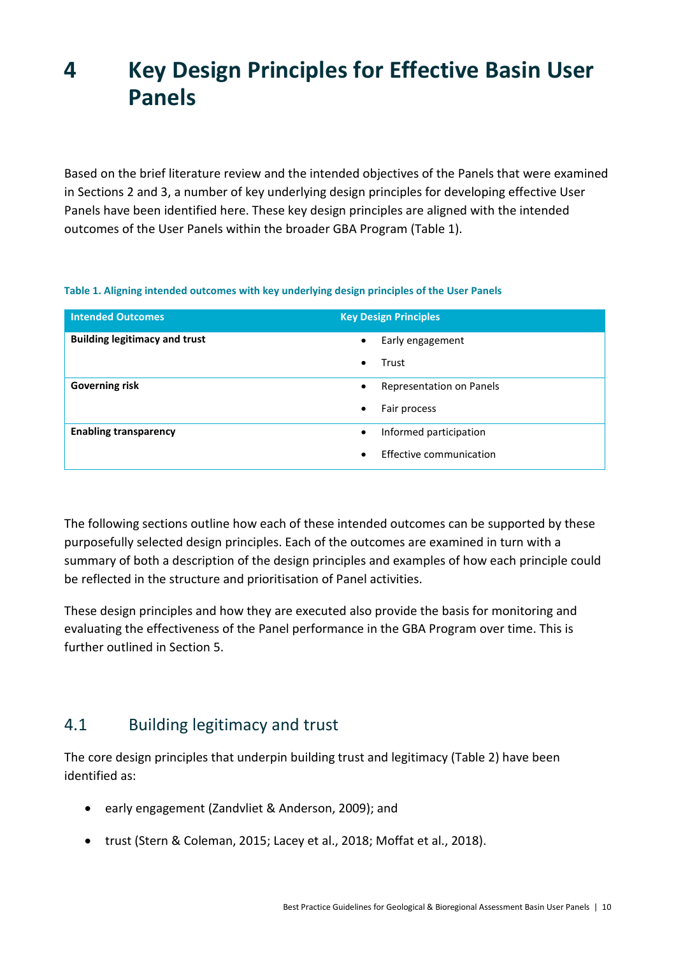# <span id="page-15-0"></span>**4 Key Design Principles for Effective Basin User Panels**

Based on the brief literature review and the intended objectives of the Panels that were examined in Sections 2 and 3, a number of key underlying design principles for developing effective User Panels have been identified here. These key design principles are aligned with the intended outcomes of the User Panels within the broader GBA Program (Table 1).

| <b>Intended Outcomes</b>             | <b>Key Design Principles</b>          |
|--------------------------------------|---------------------------------------|
| <b>Building legitimacy and trust</b> | Early engagement<br>$\bullet$         |
|                                      | Trust<br>$\bullet$                    |
| <b>Governing risk</b>                | Representation on Panels<br>$\bullet$ |
|                                      | Fair process<br>$\bullet$             |
| <b>Enabling transparency</b>         | Informed participation<br>$\bullet$   |
|                                      | Effective communication<br>$\bullet$  |

#### <span id="page-15-2"></span>**Table 1. Aligning intended outcomes with key underlying design principles of the User Panels**

The following sections outline how each of these intended outcomes can be supported by these purposefully selected design principles. Each of the outcomes are examined in turn with a summary of both a description of the design principles and examples of how each principle could be reflected in the structure and prioritisation of Panel activities.

These design principles and how they are executed also provide the basis for monitoring and evaluating the effectiveness of the Panel performance in the GBA Program over time. This is further outlined in Section 5.

### <span id="page-15-1"></span>4.1 Building legitimacy and trust

The core design principles that underpin building trust and legitimacy [\(Table 2\)](#page-16-1) have been identified as:

- early engagement (Zandvliet & Anderson, 2009); and
- trust (Stern & Coleman, 2015; Lacey et al., 2018; Moffat et al., 2018).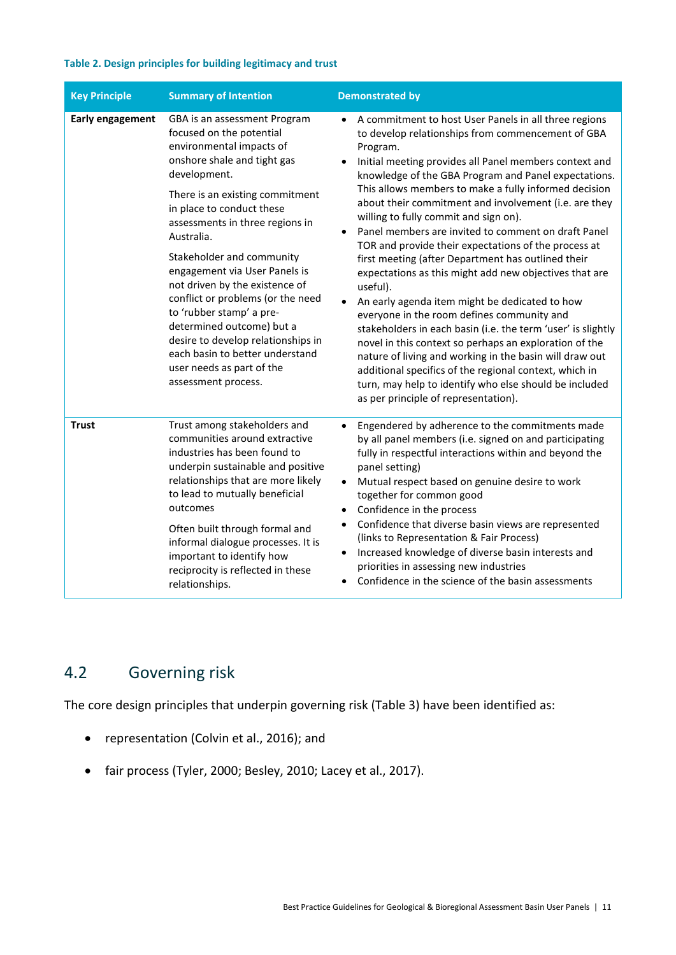#### <span id="page-16-1"></span>**Table 2. Design principles for building legitimacy and trust**

| <b>Key Principle</b> | <b>Summary of Intention</b>                                                                                                                                                                                                                                                                                                                                                                                                                                                                                                                                                     | <b>Demonstrated by</b>                                                                                                                                                                                                                                                                                                                                                                                                                                                                                                                                                                                                                                                                                                                                                                                                                                                                                                                                                                                                                                                                                                    |
|----------------------|---------------------------------------------------------------------------------------------------------------------------------------------------------------------------------------------------------------------------------------------------------------------------------------------------------------------------------------------------------------------------------------------------------------------------------------------------------------------------------------------------------------------------------------------------------------------------------|---------------------------------------------------------------------------------------------------------------------------------------------------------------------------------------------------------------------------------------------------------------------------------------------------------------------------------------------------------------------------------------------------------------------------------------------------------------------------------------------------------------------------------------------------------------------------------------------------------------------------------------------------------------------------------------------------------------------------------------------------------------------------------------------------------------------------------------------------------------------------------------------------------------------------------------------------------------------------------------------------------------------------------------------------------------------------------------------------------------------------|
| Early engagement     | GBA is an assessment Program<br>focused on the potential<br>environmental impacts of<br>onshore shale and tight gas<br>development.<br>There is an existing commitment<br>in place to conduct these<br>assessments in three regions in<br>Australia.<br>Stakeholder and community<br>engagement via User Panels is<br>not driven by the existence of<br>conflict or problems (or the need<br>to 'rubber stamp' a pre-<br>determined outcome) but a<br>desire to develop relationships in<br>each basin to better understand<br>user needs as part of the<br>assessment process. | A commitment to host User Panels in all three regions<br>$\bullet$<br>to develop relationships from commencement of GBA<br>Program.<br>Initial meeting provides all Panel members context and<br>$\bullet$<br>knowledge of the GBA Program and Panel expectations.<br>This allows members to make a fully informed decision<br>about their commitment and involvement (i.e. are they<br>willing to fully commit and sign on).<br>Panel members are invited to comment on draft Panel<br>TOR and provide their expectations of the process at<br>first meeting (after Department has outlined their<br>expectations as this might add new objectives that are<br>useful).<br>An early agenda item might be dedicated to how<br>everyone in the room defines community and<br>stakeholders in each basin (i.e. the term 'user' is slightly<br>novel in this context so perhaps an exploration of the<br>nature of living and working in the basin will draw out<br>additional specifics of the regional context, which in<br>turn, may help to identify who else should be included<br>as per principle of representation). |
| <b>Trust</b>         | Trust among stakeholders and<br>communities around extractive<br>industries has been found to<br>underpin sustainable and positive<br>relationships that are more likely<br>to lead to mutually beneficial<br>outcomes<br>Often built through formal and<br>informal dialogue processes. It is<br>important to identify how<br>reciprocity is reflected in these<br>relationships.                                                                                                                                                                                              | Engendered by adherence to the commitments made<br>by all panel members (i.e. signed on and participating<br>fully in respectful interactions within and beyond the<br>panel setting)<br>Mutual respect based on genuine desire to work<br>together for common good<br>Confidence in the process<br>$\bullet$<br>Confidence that diverse basin views are represented<br>(links to Representation & Fair Process)<br>Increased knowledge of diverse basin interests and<br>priorities in assessing new industries<br>Confidence in the science of the basin assessments                                                                                                                                                                                                                                                                                                                                                                                                                                                                                                                                                    |

### <span id="page-16-0"></span>4.2 Governing risk

The core design principles that underpin governing risk [\(Table 3\)](#page-17-0) have been identified as:

- representation (Colvin et al., 2016); and
- fair process (Tyler, 2000; Besley, 2010; Lacey et al., 2017).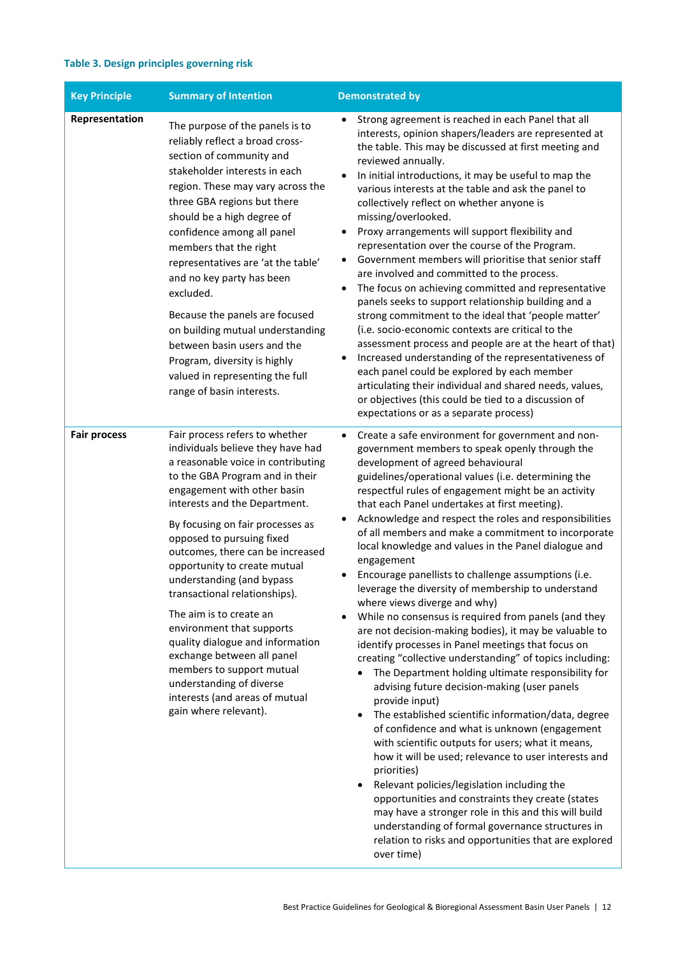#### <span id="page-17-0"></span>**Table 3. Design principles governing risk**

| <b>Key Principle</b> | <b>Summary of Intention</b>                                                                                                                                                                                                                                                                                                                                                                                                                                                                                                                                                                                                                                   | <b>Demonstrated by</b>                                                                                                                                                                                                                                                                                                                                                                                                                                                                                                                                                                                                                                                                                                                                                                                                                                                                                                                                                                                                                                                                                                                                                                                                                                                                                                                                                                                                                                                                                                                                                                 |
|----------------------|---------------------------------------------------------------------------------------------------------------------------------------------------------------------------------------------------------------------------------------------------------------------------------------------------------------------------------------------------------------------------------------------------------------------------------------------------------------------------------------------------------------------------------------------------------------------------------------------------------------------------------------------------------------|----------------------------------------------------------------------------------------------------------------------------------------------------------------------------------------------------------------------------------------------------------------------------------------------------------------------------------------------------------------------------------------------------------------------------------------------------------------------------------------------------------------------------------------------------------------------------------------------------------------------------------------------------------------------------------------------------------------------------------------------------------------------------------------------------------------------------------------------------------------------------------------------------------------------------------------------------------------------------------------------------------------------------------------------------------------------------------------------------------------------------------------------------------------------------------------------------------------------------------------------------------------------------------------------------------------------------------------------------------------------------------------------------------------------------------------------------------------------------------------------------------------------------------------------------------------------------------------|
| Representation       | The purpose of the panels is to<br>reliably reflect a broad cross-<br>section of community and<br>stakeholder interests in each<br>region. These may vary across the<br>three GBA regions but there<br>should be a high degree of<br>confidence among all panel<br>members that the right<br>representatives are 'at the table'<br>and no key party has been<br>excluded.<br>Because the panels are focused<br>on building mutual understanding<br>between basin users and the<br>Program, diversity is highly<br>valued in representing the full<br>range of basin interests.                                                                                | Strong agreement is reached in each Panel that all<br>$\bullet$<br>interests, opinion shapers/leaders are represented at<br>the table. This may be discussed at first meeting and<br>reviewed annually.<br>In initial introductions, it may be useful to map the<br>$\bullet$<br>various interests at the table and ask the panel to<br>collectively reflect on whether anyone is<br>missing/overlooked.<br>Proxy arrangements will support flexibility and<br>$\bullet$<br>representation over the course of the Program.<br>Government members will prioritise that senior staff<br>٠<br>are involved and committed to the process.<br>The focus on achieving committed and representative<br>$\bullet$<br>panels seeks to support relationship building and a<br>strong commitment to the ideal that 'people matter'<br>(i.e. socio-economic contexts are critical to the<br>assessment process and people are at the heart of that)<br>Increased understanding of the representativeness of<br>each panel could be explored by each member<br>articulating their individual and shared needs, values,<br>or objectives (this could be tied to a discussion of<br>expectations or as a separate process)                                                                                                                                                                                                                                                                                                                                                                            |
| <b>Fair process</b>  | Fair process refers to whether<br>individuals believe they have had<br>a reasonable voice in contributing<br>to the GBA Program and in their<br>engagement with other basin<br>interests and the Department.<br>By focusing on fair processes as<br>opposed to pursuing fixed<br>outcomes, there can be increased<br>opportunity to create mutual<br>understanding (and bypass<br>transactional relationships).<br>The aim is to create an<br>environment that supports<br>quality dialogue and information<br>exchange between all panel<br>members to support mutual<br>understanding of diverse<br>interests (and areas of mutual<br>gain where relevant). | Create a safe environment for government and non-<br>$\bullet$<br>government members to speak openly through the<br>development of agreed behavioural<br>guidelines/operational values (i.e. determining the<br>respectful rules of engagement might be an activity<br>that each Panel undertakes at first meeting).<br>Acknowledge and respect the roles and responsibilities<br>$\bullet$<br>of all members and make a commitment to incorporate<br>local knowledge and values in the Panel dialogue and<br>engagement<br>Encourage panellists to challenge assumptions (i.e.<br>leverage the diversity of membership to understand<br>where views diverge and why)<br>While no consensus is required from panels (and they<br>$\bullet$<br>are not decision-making bodies), it may be valuable to<br>identify processes in Panel meetings that focus on<br>creating "collective understanding" of topics including:<br>The Department holding ultimate responsibility for<br>advising future decision-making (user panels<br>provide input)<br>The established scientific information/data, degree<br>$\bullet$<br>of confidence and what is unknown (engagement<br>with scientific outputs for users; what it means,<br>how it will be used; relevance to user interests and<br>priorities)<br>Relevant policies/legislation including the<br>opportunities and constraints they create (states<br>may have a stronger role in this and this will build<br>understanding of formal governance structures in<br>relation to risks and opportunities that are explored<br>over time) |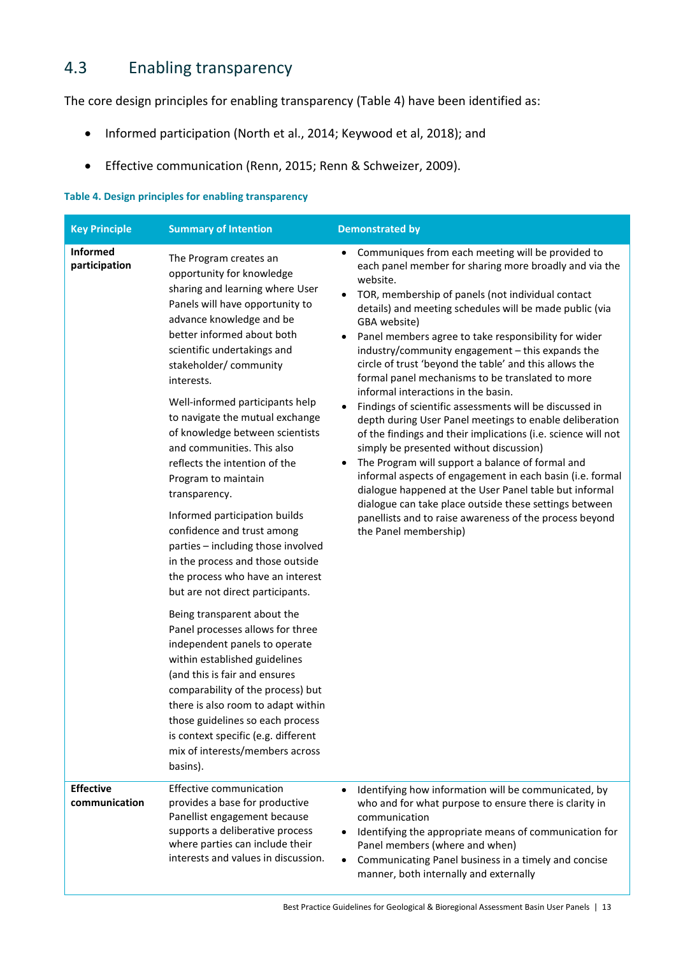### <span id="page-18-0"></span>4.3 Enabling transparency

The core design principles for enabling transparency [\(Table 4\)](#page-18-1) have been identified as:

- Informed participation (North et al., 2014; Keywood et al, 2018); and
- Effective communication (Renn, 2015; Renn & Schweizer, 2009).

#### <span id="page-18-1"></span>**Table 4. Design principles for enabling transparency**

| <b>Key Principle</b>              | <b>Summary of Intention</b>                                                                                                                                                                                                                                                                                                                                                                                                                                                                                                                                                                                                                                                                                                                                                                                                                                                                                                                                                                                                                                           | <b>Demonstrated by</b>                                                                                                                                                                                                                                                                                                                                                                                                                                                                                                                                                                                                                                                                                                                                                                                                                                                                                                                                                                                                                                                              |
|-----------------------------------|-----------------------------------------------------------------------------------------------------------------------------------------------------------------------------------------------------------------------------------------------------------------------------------------------------------------------------------------------------------------------------------------------------------------------------------------------------------------------------------------------------------------------------------------------------------------------------------------------------------------------------------------------------------------------------------------------------------------------------------------------------------------------------------------------------------------------------------------------------------------------------------------------------------------------------------------------------------------------------------------------------------------------------------------------------------------------|-------------------------------------------------------------------------------------------------------------------------------------------------------------------------------------------------------------------------------------------------------------------------------------------------------------------------------------------------------------------------------------------------------------------------------------------------------------------------------------------------------------------------------------------------------------------------------------------------------------------------------------------------------------------------------------------------------------------------------------------------------------------------------------------------------------------------------------------------------------------------------------------------------------------------------------------------------------------------------------------------------------------------------------------------------------------------------------|
| <b>Informed</b><br>participation  | The Program creates an<br>opportunity for knowledge<br>sharing and learning where User<br>Panels will have opportunity to<br>advance knowledge and be<br>better informed about both<br>scientific undertakings and<br>stakeholder/community<br>interests.<br>Well-informed participants help<br>to navigate the mutual exchange<br>of knowledge between scientists<br>and communities. This also<br>reflects the intention of the<br>Program to maintain<br>transparency.<br>Informed participation builds<br>confidence and trust among<br>parties - including those involved<br>in the process and those outside<br>the process who have an interest<br>but are not direct participants.<br>Being transparent about the<br>Panel processes allows for three<br>independent panels to operate<br>within established guidelines<br>(and this is fair and ensures<br>comparability of the process) but<br>there is also room to adapt within<br>those guidelines so each process<br>is context specific (e.g. different<br>mix of interests/members across<br>basins). | Communiques from each meeting will be provided to<br>each panel member for sharing more broadly and via the<br>website.<br>TOR, membership of panels (not individual contact<br>details) and meeting schedules will be made public (via<br>GBA website)<br>Panel members agree to take responsibility for wider<br>industry/community engagement - this expands the<br>circle of trust 'beyond the table' and this allows the<br>formal panel mechanisms to be translated to more<br>informal interactions in the basin.<br>Findings of scientific assessments will be discussed in<br>depth during User Panel meetings to enable deliberation<br>of the findings and their implications (i.e. science will not<br>simply be presented without discussion)<br>The Program will support a balance of formal and<br>informal aspects of engagement in each basin (i.e. formal<br>dialogue happened at the User Panel table but informal<br>dialogue can take place outside these settings between<br>panellists and to raise awareness of the process beyond<br>the Panel membership) |
| <b>Effective</b><br>communication | Effective communication<br>provides a base for productive<br>Panellist engagement because<br>supports a deliberative process<br>where parties can include their<br>interests and values in discussion.                                                                                                                                                                                                                                                                                                                                                                                                                                                                                                                                                                                                                                                                                                                                                                                                                                                                | Identifying how information will be communicated, by<br>who and for what purpose to ensure there is clarity in<br>communication<br>Identifying the appropriate means of communication for<br>Panel members (where and when)<br>Communicating Panel business in a timely and concise<br>$\bullet$<br>manner, both internally and externally                                                                                                                                                                                                                                                                                                                                                                                                                                                                                                                                                                                                                                                                                                                                          |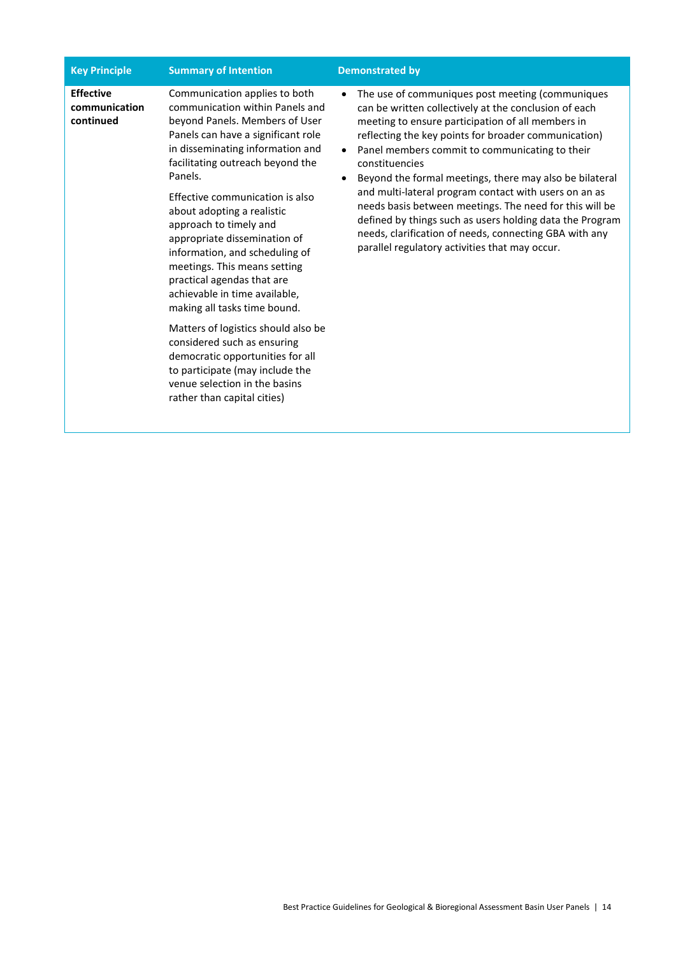| <b>Key Principle</b>                           | <b>Summary of Intention</b>                                                                                                                                                                                                                                                                                                                                                                                                                                                                                             | <b>Demonstrated by</b>                                                                                                                                                                                                                                                                                                                                                                                                                                                                                                                                                                                                                                                      |
|------------------------------------------------|-------------------------------------------------------------------------------------------------------------------------------------------------------------------------------------------------------------------------------------------------------------------------------------------------------------------------------------------------------------------------------------------------------------------------------------------------------------------------------------------------------------------------|-----------------------------------------------------------------------------------------------------------------------------------------------------------------------------------------------------------------------------------------------------------------------------------------------------------------------------------------------------------------------------------------------------------------------------------------------------------------------------------------------------------------------------------------------------------------------------------------------------------------------------------------------------------------------------|
| <b>Effective</b><br>communication<br>continued | Communication applies to both<br>communication within Panels and<br>beyond Panels. Members of User<br>Panels can have a significant role<br>in disseminating information and<br>facilitating outreach beyond the<br>Panels.<br>Effective communication is also<br>about adopting a realistic<br>approach to timely and<br>appropriate dissemination of<br>information, and scheduling of<br>meetings. This means setting<br>practical agendas that are<br>achievable in time available,<br>making all tasks time bound. | The use of communiques post meeting (communiques<br>$\bullet$<br>can be written collectively at the conclusion of each<br>meeting to ensure participation of all members in<br>reflecting the key points for broader communication)<br>Panel members commit to communicating to their<br>constituencies<br>Beyond the formal meetings, there may also be bilateral<br>$\bullet$<br>and multi-lateral program contact with users on an as<br>needs basis between meetings. The need for this will be<br>defined by things such as users holding data the Program<br>needs, clarification of needs, connecting GBA with any<br>parallel regulatory activities that may occur. |
|                                                | Matters of logistics should also be<br>considered such as ensuring<br>democratic opportunities for all<br>to participate (may include the<br>venue selection in the basins<br>rather than capital cities)                                                                                                                                                                                                                                                                                                               |                                                                                                                                                                                                                                                                                                                                                                                                                                                                                                                                                                                                                                                                             |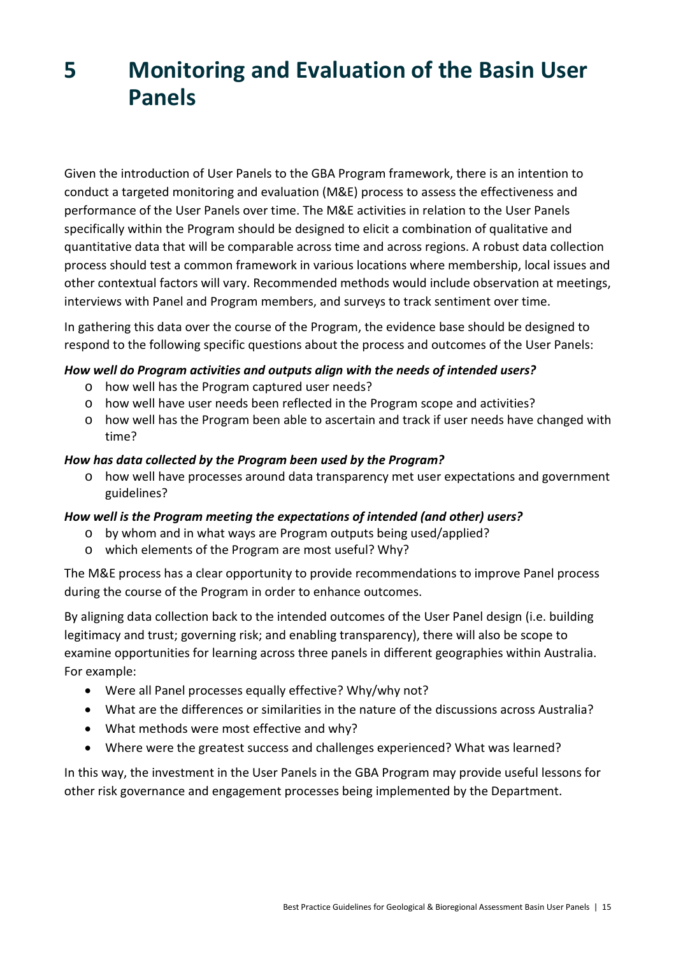# <span id="page-20-0"></span>**5 Monitoring and Evaluation of the Basin User Panels**

Given the introduction of User Panels to the GBA Program framework, there is an intention to conduct a targeted monitoring and evaluation (M&E) process to assess the effectiveness and performance of the User Panels over time. The M&E activities in relation to the User Panels specifically within the Program should be designed to elicit a combination of qualitative and quantitative data that will be comparable across time and across regions. A robust data collection process should test a common framework in various locations where membership, local issues and other contextual factors will vary. Recommended methods would include observation at meetings, interviews with Panel and Program members, and surveys to track sentiment over time.

In gathering this data over the course of the Program, the evidence base should be designed to respond to the following specific questions about the process and outcomes of the User Panels:

#### *How well do Program activities and outputs align with the needs of intended users?*

- o how well has the Program captured user needs?
- o how well have user needs been reflected in the Program scope and activities?
- o how well has the Program been able to ascertain and track if user needs have changed with time?

#### *How has data collected by the Program been used by the Program?*

o how well have processes around data transparency met user expectations and government guidelines?

#### *How well is the Program meeting the expectations of intended (and other) users?*

- o by whom and in what ways are Program outputs being used/applied?
	- o which elements of the Program are most useful? Why?

The M&E process has a clear opportunity to provide recommendations to improve Panel process during the course of the Program in order to enhance outcomes.

By aligning data collection back to the intended outcomes of the User Panel design (i.e. building legitimacy and trust; governing risk; and enabling transparency), there will also be scope to examine opportunities for learning across three panels in different geographies within Australia. For example:

- Were all Panel processes equally effective? Why/why not?
- What are the differences or similarities in the nature of the discussions across Australia?
- What methods were most effective and why?
- Where were the greatest success and challenges experienced? What was learned?

In this way, the investment in the User Panels in the GBA Program may provide useful lessons for other risk governance and engagement processes being implemented by the Department.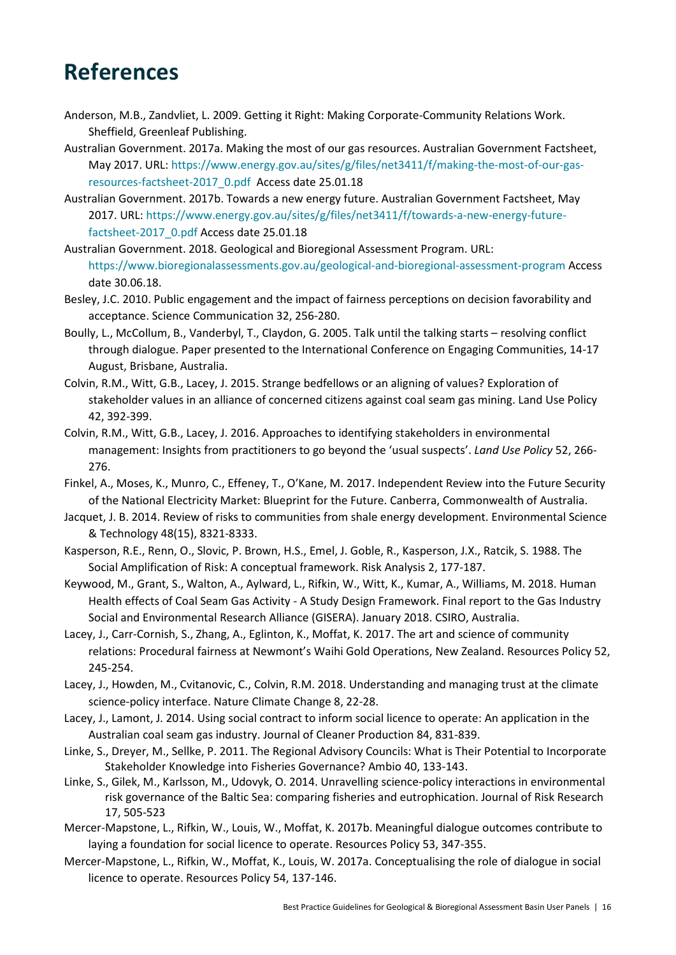### <span id="page-21-0"></span>**References**

- Anderson, M.B., Zandvliet, L. 2009. Getting it Right: Making Corporate-Community Relations Work. Sheffield, Greenleaf Publishing.
- Australian Government. 2017a. Making the most of our gas resources. Australian Government Factsheet, May 2017. URL: [https://www.energy.gov.au/sites/g/files/net3411/f/making-the-most-of-our-gas](https://www.energy.gov.au/sites/g/files/net3411/f/making-the-most-of-our-gas-resources-factsheet-2017_0.pdf%20Access%20date%2025.01.18)[resources-factsheet-2017\\_0.pdf](https://www.energy.gov.au/sites/g/files/net3411/f/making-the-most-of-our-gas-resources-factsheet-2017_0.pdf%20Access%20date%2025.01.18) Access date 25.01.18
- Australian Government. 2017b. Towards a new energy future. Australian Government Factsheet, May 2017. URL[: https://www.energy.gov.au/sites/g/files/net3411/f/towards-a-new-energy-future](https://www.energy.gov.au/sites/g/files/net3411/f/towards-a-new-energy-future-factsheet-2017_0.pdf)[factsheet-2017\\_0.pdf](https://www.energy.gov.au/sites/g/files/net3411/f/towards-a-new-energy-future-factsheet-2017_0.pdf) Access date 25.01.18
- Australian Government. 2018. Geological and Bioregional Assessment Program. URL: https://www.bioregionalassessments.gov.au/geological-and-bioregional-assessment-program Access date 30.06.18.
- Besley, J.C. 2010. Public engagement and the impact of fairness perceptions on decision favorability and acceptance. Science Communication 32, 256-280.
- Boully, L., McCollum, B., Vanderbyl, T., Claydon, G. 2005. Talk until the talking starts resolving conflict through dialogue. Paper presented to the International Conference on Engaging Communities, 14-17 August, Brisbane, Australia.
- Colvin, R.M., Witt, G.B., Lacey, J. 2015. Strange bedfellows or an aligning of values? Exploration of stakeholder values in an alliance of concerned citizens against coal seam gas mining. Land Use Policy 42, 392-399.
- Colvin, R.M., Witt, G.B., Lacey, J. 2016. Approaches to identifying stakeholders in environmental management: Insights from practitioners to go beyond the 'usual suspects'. *Land Use Policy* 52, 266- 276.
- Finkel, A., Moses, K., Munro, C., Effeney, T., O'Kane, M. 2017. Independent Review into the Future Security of the National Electricity Market: Blueprint for the Future. Canberra, Commonwealth of Australia.
- Jacquet, J. B. 2014. Review of risks to communities from shale energy development. Environmental Science & Technology 48(15), 8321-8333.
- Kasperson, R.E., Renn, O., Slovic, P. Brown, H.S., Emel, J. Goble, R., Kasperson, J.X., Ratcik, S. 1988. The Social Amplification of Risk: A conceptual framework. Risk Analysis 2, 177-187.
- Keywood, M., Grant, S., Walton, A., Aylward, L., Rifkin, W., Witt, K., Kumar, A., Williams, M. 2018. Human Health effects of Coal Seam Gas Activity - A Study Design Framework. Final report to the Gas Industry Social and Environmental Research Alliance (GISERA). January 2018. CSIRO, Australia.
- Lacey, J., Carr-Cornish, S., Zhang, A., Eglinton, K., Moffat, K. 2017. The art and science of community relations: Procedural fairness at Newmont's Waihi Gold Operations, New Zealand. Resources Policy 52, 245-254.
- Lacey, J., Howden, M., Cvitanovic, C., Colvin, R.M. 2018. Understanding and managing trust at the climate science-policy interface. Nature Climate Change 8, 22-28.
- Lacey, J., Lamont, J. 2014. Using social contract to inform social licence to operate: An application in the Australian coal seam gas industry. Journal of Cleaner Production 84, 831-839.
- Linke, S., Dreyer, M., Sellke, P. 2011. The Regional Advisory Councils: What is Their Potential to Incorporate Stakeholder Knowledge into Fisheries Governance? Ambio 40, 133-143.
- Linke, S., Gilek, M., Karlsson, M., Udovyk, O. 2014. Unravelling science-policy interactions in environmental risk governance of the Baltic Sea: comparing fisheries and eutrophication. Journal of Risk Research 17, 505-523
- Mercer-Mapstone, L., Rifkin, W., Louis, W., Moffat, K. 2017b. Meaningful dialogue outcomes contribute to laying a foundation for social licence to operate. Resources Policy 53, 347-355.
- Mercer-Mapstone, L., Rifkin, W., Moffat, K., Louis, W. 2017a. Conceptualising the role of dialogue in social licence to operate. Resources Policy 54, 137-146.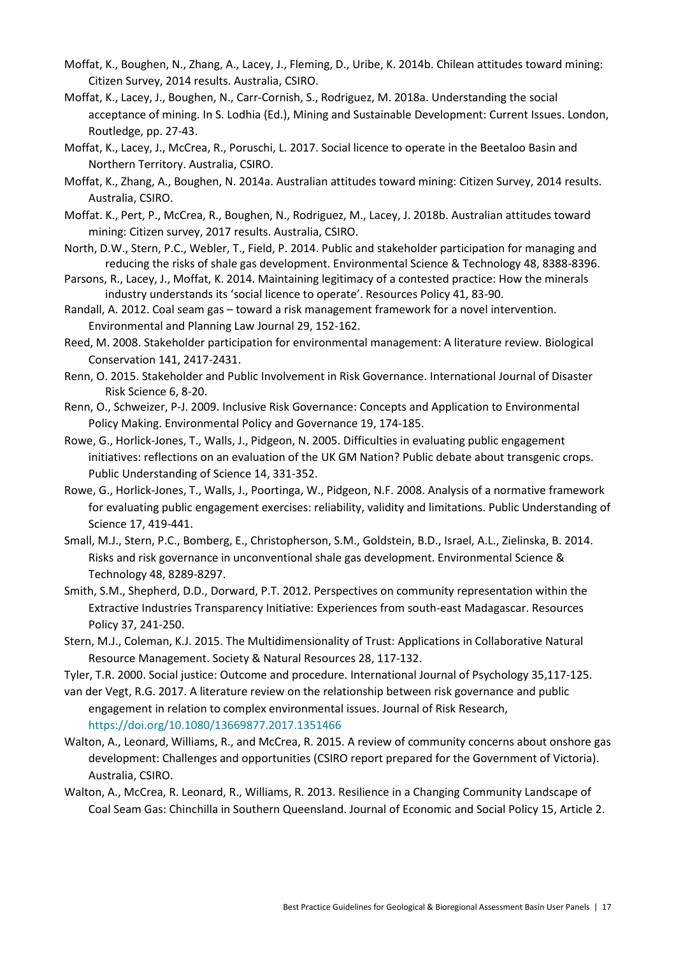- Moffat, K., Boughen, N., Zhang, A., Lacey, J., Fleming, D., Uribe, K. 2014b. Chilean attitudes toward mining: Citizen Survey, 2014 results. Australia, CSIRO.
- Moffat, K., Lacey, J., Boughen, N., Carr-Cornish, S., Rodriguez, M. 2018a. Understanding the social acceptance of mining. In S. Lodhia (Ed.), Mining and Sustainable Development: Current Issues. London, Routledge, pp. 27-43.
- Moffat, K., Lacey, J., McCrea, R., Poruschi, L. 2017. Social licence to operate in the Beetaloo Basin and Northern Territory. Australia, CSIRO.
- Moffat, K., Zhang, A., Boughen, N. 2014a. Australian attitudes toward mining: Citizen Survey, 2014 results. Australia, CSIRO.
- Moffat. K., Pert, P., McCrea, R., Boughen, N., Rodriguez, M., Lacey, J. 2018b. Australian attitudes toward mining: Citizen survey, 2017 results. Australia, CSIRO.
- North, D.W., Stern, P.C., Webler, T., Field, P. 2014. Public and stakeholder participation for managing and reducing the risks of shale gas development. Environmental Science & Technology 48, 8388-8396.
- Parsons, R., Lacey, J., Moffat, K. 2014. Maintaining legitimacy of a contested practice: How the minerals industry understands its 'social licence to operate'. Resources Policy 41, 83-90.
- Randall, A. 2012. Coal seam gas toward a risk management framework for a novel intervention. Environmental and Planning Law Journal 29, 152-162.
- Reed, M. 2008. Stakeholder participation for environmental management: A literature review. Biological Conservation 141, 2417-2431.
- Renn, O. 2015. Stakeholder and Public Involvement in Risk Governance. International Journal of Disaster Risk Science 6, 8-20.
- Renn, O., Schweizer, P-J. 2009. Inclusive Risk Governance: Concepts and Application to Environmental Policy Making. Environmental Policy and Governance 19, 174-185.
- Rowe, G., Horlick-Jones, T., Walls, J., Pidgeon, N. 2005. Difficulties in evaluating public engagement initiatives: reflections on an evaluation of the UK GM Nation? Public debate about transgenic crops. Public Understanding of Science 14, 331-352.
- Rowe, G., Horlick-Jones, T., Walls, J., Poortinga, W., Pidgeon, N.F. 2008. Analysis of a normative framework for evaluating public engagement exercises: reliability, validity and limitations. Public Understanding of Science 17, 419-441.
- Small, M.J., Stern, P.C., Bomberg, E., Christopherson, S.M., Goldstein, B.D., Israel, A.L., Zielinska, B. 2014. Risks and risk governance in unconventional shale gas development. Environmental Science & Technology 48, 8289-8297.
- Smith, S.M., Shepherd, D.D., Dorward, P.T. 2012. Perspectives on community representation within the Extractive Industries Transparency Initiative: Experiences from south-east Madagascar. Resources Policy 37, 241-250.
- Stern, M.J., Coleman, K.J. 2015. The Multidimensionality of Trust: Applications in Collaborative Natural Resource Management. Society & Natural Resources 28, 117-132.
- Tyler, T.R. 2000. Social justice: Outcome and procedure. International Journal of Psychology 35,117-125.
- van der Vegt, R.G. 2017. A literature review on the relationship between risk governance and public engagement in relation to complex environmental issues. Journal of Risk Research, <https://doi.org/10.1080/13669877.2017.1351466>
- Walton, A., Leonard, Williams, R., and McCrea, R. 2015. A review of community concerns about onshore gas development: Challenges and opportunities (CSIRO report prepared for the Government of Victoria). Australia, CSIRO.
- Walton, A., McCrea, R. Leonard, R., Williams, R. 2013. Resilience in a Changing Community Landscape of Coal Seam Gas: Chinchilla in Southern Queensland. Journal of Economic and Social Policy 15, Article 2.